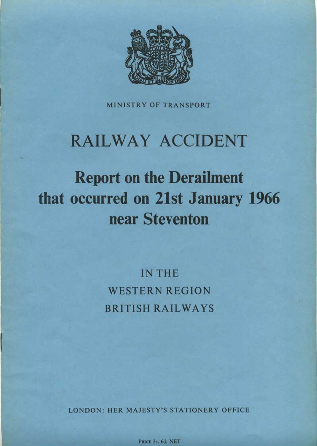

**MINISTRY OF TRANSPORT** 

### **RAILWAY ACCIDENT**

## **Report on the Derailment** that occurred on 21st January 1966 near Steventon

**IN THE WESTERN REGION BRITISH RAILWAYS** 

**LONDON: HER MAJESTY'S STATIONERY OFFICE** 

PRICE 3s. 6d. NET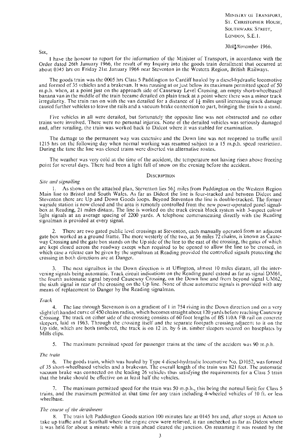MINISTRY OF TRANSPORT, ST. CHRISTOPHER HOUSE, SOUTHWARK STREET, Loxoox, S.E.I.

#### *30lh:Novefnber* 1966.

SIR,

1 have the honour to report for the information of the Minister of Transport, in accordance with the Order dated 26th January 1966, the result of my Inquiry into the goods train derailment that occurred at about 0345 hrs on Friday 21st January 1966 near Steventon in the Western Region, British Railways.

The goods train was the 0005 hrs Class 5 Paddington to Cardiff hauled by a diesel-hydraulic locomotive and formed of 35 vehicles and a brakevan. It was running at or just below its maximum permitted speed of 50 m.p.h. when, at a point just on the approach side of Causeway Level Crossing, an empty short-wheelbased bananavan in the middle of the train became derailed on plain track at a point where there was a minor track irregularity. The train ran on with the van derailed for a distance of  $1\frac{1}{4}$  miles until increasing track damage caused further vehicles to leave the rails and a vacuum brake connection to part, bringing the train to a stand.

Five vehicles in all were derailed, but fortunately the opposite line was not obstructed and no other trains were involved. There were no personal injuries. None of the derailed vehicles was seriously damaged and, after rerailing, the train was worked back to Didcot where it was stabled for examination.

The damage to the permanent way was extensive and the Down line was not reopened to traffic until 1215 hrs on the following day when normal working was resumed subject to a 15 m.p.h. speed restriction. During the time the line was closed trains were diverted via alternative routes.

The weather was very cold at the time of the accident, the temperature not having risen above freezing point for several days. There had been a light fall of snow on the evening before the accident.

#### **DESCRIPTION**

#### *Site and signalling*

1. As shown on the attached plan, Steventon lies 56: miles from Paddington on the Western Region Main line to Bristol and South Wales. As far as Didcot the line is four-tracked and between Didcot and Steventon there are Up and Down Goods loops. Beyond Steventon the line is double-tracked. The former wayside station is now closed and the area is remotely controlled from the new power-operated panel signalbox at Reading, 21 miles distant. The line is worked on the track circuit block system with 3-aspect colour light signals at an average spacing of 2200 yards. A telephone communicating directly with the Reading signalman is provided at every signal.

2. There are two gated public level crossings at Steventon, each manually operated from an adjacent gate box worked as a ground frame. The more westerly of the two, at 56 miles 72 chains, is known as Causeway Crossing and the gate box stands on the Up side of the line to the east of the crossing, the gates of which are kept closed across the roadway except when required to be opened to allow the line to be crossed, in which case a release can be given by the signalman at Reading provided the controlled signals protecting the crossing in both directions are at Danger.

*3.* The next signalbox in the Down direction is at Uffington, almost 10 miles distant, all the intervening signals being automatic. Track circuit indications on the Reading panel extend as far as signal DM61, the fourth automatic signal beyond Causeway Crossing, on the Down line and from beyond signal UM62, the sixth signal in rear of the crossing on the Up line. None of these automatic signals is provided with any means of replacement to Danger by the Reading signalman.

#### *Track*

The line through Steventon is on a gradient of 1 in 754 rising in the Down direction and on a very slightleft handed curve of 450 chains radius, which becomes straight about 120 yards before reaching Causeway Crossing. The track on either side of the crossing consists of 60 foot lengths of BS 110A FB rail on concrete sleepers, laid in 1963. Through the crossing itself and the separate footpath crossing adjaccnt to it on the Up side, which are both timbered, the track is on 12 in. by 6 in. timber sleepers secured on bascplatcs by Mills clips.

5. The maximum permitted speed for passenger trains at the time of the accident was 90 m.p.h.

#### *The train*

6. The goods train, which was hauled by Type 4 diesel-liydraulic locomotive No. D1052, was formed of 35 short-wheelbased vehicles and a brakevan. The overall length of the train was 821 feet. The automatic vacuum brake was connected on the leading 26 vehicles thus satisfying the requirements for a Class **5** train that the brake should be effective on at least half the vehicles.

wheelbase. 7. The maximum permitted speed for the train was 50 m.p.h., this being the normal limit for Class 5 trains, and the maximum permitted at that time for any train including 4-wheeled vehicles of 10 ft. or less

#### *The course of the derailment*

The train left Paddington Goods station 100 minutes late at 0145 hrs and, after stops at Acton to take up traffic and at Southall where the engine crew were relieved, it ran unchecked as far as Didcot where it was held for about a minute while a train ahead cleared the junction. On restarting it was routed by the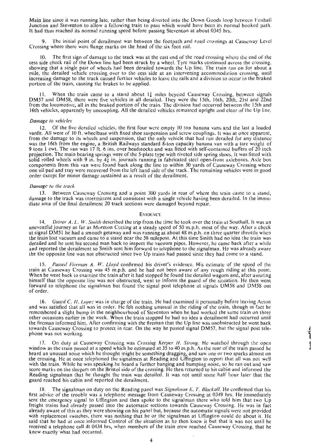Main line since it was running late, rather than being diverted into the Down Cioods loop betwccn Foxhall Junction and Steventon to allow a following train to pass which would have been its normal booked path. It had thus reached its normal running speed before passing Steventon at about 0345 hrs.

The initial point of derailment was between the footpath and road crossings at Causeway Level Crossing where there were flange marks on the head of the six foot rail.

The first sign of damage to the track was at the cast end of the road crossing where the end of the cess side check rail of the Down line had been struck by a wheel. Tyre marks continued across the crossing, showing that a single pair of wheels had been derailed towards the Up line. The train ran on for about a mile, the derailed vehicle crossing over to the cess side at an intervening accommodation crossing, until increasing damage to the track caused further vehicles to leave the rails and a division to occur in the braked portion of the train, causing the brakes to be applied.

When the train came to a stand about  $14$  miles beyond Causeway Crossing, between signals DM57 and DM58, there were five vehicles in all derailed. They were the 15th, 16th, 20th, 21st and 22nd from the locomotive, all in the braked portion of the train. The division had occurred between the 15th and 16th vehicles, apparently by uncoupling. All the derailed vehicles remained upright and clear of the Up line.

#### *Damage to vehicles*

12. Of the five derailed vehicles, the first four were empty 10 ton banana vans and the last a loadcd vanfit. All were of 10 ft. wheelbase with fixed shoe suspension and screw couplings. It was at once apparent, from the damage to its wheels and suspension, that the only vehicle that had run derailed for any distancc was the 16th from the engine, a British Railways standard 8-ton capacity banana van with a tare weight of **9** tons **1** cwt. The van was 17 ft. *6* ins. over headstocks and was fitted with self-contained buffers of 20 inch projection. The main bearing springs were of the 5-plate type with riveted side spring shoes. It was fitted with solid rolled wheels with 9 in. by  $4\frac{1}{4}$  in. journals running in fabricated steel open-front axleboxes. Axle box components from this van were found back along the line to within 50 yards of Causeway Crossing where one oil pad and tray were recovered from the left hand side of the track. The remaining vehicles were in good order except for minor damage sustained as a result of the derailment.

#### *Damage to the track*

13. Between Causcway Crossing and a point 300 yards in rear of where the train came to a stand, damage to the track was intermittent and consistent with a single vehicle having been derailed. In the immediate area of the final derailment 20 track sections were damaged beyond repair.

#### **EVIDENCL**

14. *Driver A. L. W. Smith* described the trip from the time he took over the train at Southall. It was an uneventful journey as far as Moreton Cutting at a steady speed of 50 m.p.h. most of the way. After a chcck at signal DM51 he had a smooth getaway and was running at about 48 m.p.h. on three quarter throttle when the train lost vacuum and came to a stand near the 58 milepost. At this time Smith had no idea the train was derailed and he sent his second man back to inspect the vacuum pipes. However, he came back after a while and reported the derailment so Smith sent him forward to telephone to the signalman. He was already aware the the opposite line was not obstructed since two Up trains had passed since they had come to a stand.

15. *Passed Fireman A. W. Lloyd* confirmed his driver's evidence. His estimate of the speed of the train at Causeway Crossing was 45 m.p.h. and he had not been aware of any rough riding at this point. When he went back to examine the train after it had stopped he found the derailed wagons and, after assuring himself that the opposite line was not obstructed, went to inform the guard of the situation. He then went forward to telephone the signalman but found the signal post telephone at signals UM58 and DM58 out of order.

16. *Guard C. H.* Lopez was in charge of the train. He had examined it personally before lcaving Acton and was satisfied that all was in order. He felt nothing unusual in thc riding of the train, though in fact he remembered a slight bump in the neighbourhood of Steventon when he had worked the same train on three her occasions earlier in the week. When the train stopped he had no idea a derailment had occurred until the fireman informed him. After confirming with the fireman that the Up line was unobstructed he went back towards Causeway Crossing to protect in rear. On the way he passed signal DM57, but the signal post telephone was not working.

17. On duty at Causeway Crossing was *Crossing Keeper* H. *SIrotig* He watched through the open window as the train passed at a speed which he estimated at 35 to 40 m.p.h. As the rear of the train passed he heard an unusual noise which he thought might be something dragging, and saw one or two sparks almost on the crossing. He at once telephoned the signalmen at Reading and Uffington to report that all was not well with the train. While he was speaking he heard a further banging and bumping noise, so he ran out and saw ore marks on the sleepers on the Bristol side of the crossing. He then returned to his cabin and informed the eading signalman that he thought the train was derailed. It was not until some half hour later that the guard reached his cabin and reported the derailment.

18. The signalman on duty on the Reading panel was *Signalman E. T. Blackall*. He confirmed that his first advice of the trouble was a telephone message from Causeway Crossing at 0349 hrs. He immediately sent the emergency signal to Uffington and then spoke to the signalman there who told him that two Up freight trains had already passed into the automatic sections towards Causeway Crossing. He was in fact already aware of this as they were showing on his panel but, because the automatic signals were not provided with replacement switches, there was nothing that he or thc signalman at Uffington could do about it. He said that he had at once informed Control of the situation as he then knew it but that it was not until he received a telephone call at 0434 hrs, when members of the train crew reached Causeway Crossing, that he knew exactly what had occurred.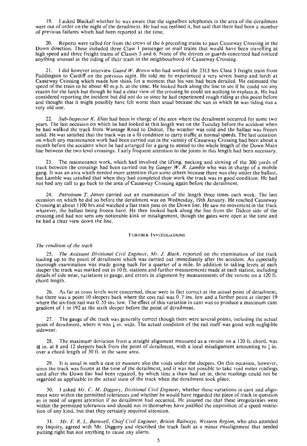19. 1 asked Blackall whether he was aware that the signalbox telephones in the arca of the derailment were out of order on the night of the derailment. He had not realised it, but said that there had been a number of previous failures which had been reported at the time.

20. Reports were called for from the crews of the 6 preceding trains to pass Causeway Crossing in thc Down direction. These included three Class I passenger or mail trains that would have been travelling at high speed and three freight trains of Classes 5 and 6. None of the drivers or guards concerned had noticed anything unusual in the riding of their train in the neighbourhood of Causeway Crossing.

21. **1** did however interview *Guard* W. *Brown* who had worked the 2315 hrs Class 5 freight train from Paddington to Cardiff on the previous night. He told me he experienced a very severe bump and lurch at Causeway Crossing which made him think for a moment that his van had been derailed. He estimated the speed of the train to be about 40 m.p.h. at the time. He looked back along the line to see if he could see any reason for the lurch but though he had a clear view of the crossing he could see nothing to explain it. He had **F** considered reporting the incident but did not do so since he had experienced rough riding at this point before and thought that it might possibly have felt worse than usual because the van in which he was riding was a very old one.

22. *Sub-Inspector K. Elias* had been in charge of the area where the derailment occurred for some two years. The last occasion on which he had looked at this length was on the Tuesday before the accident wbcn he had walked the track from Wantage Road to Didcot. The weather was cold and the ballast was frozen solid. He was satisfied that the track was in a fit condition to carry traffic at normal speeds. The last occasion on which any maintenance work had been carried out in the vicinity of Causeway Crossing had been about a month before the accident when he had arranged for a gang to attend to the whole length of the Down Main line between the two level crossings. Fairly frequent attention to the joints in this length had been necessary.

**23.** The maintenance work, which had involved the lifting, packing and slewing of the 300 yards of track between the crossings had been carried out by *Ganger W. R. Lamble* who was in charge of a mobile gang. It was an area which needed more attention than some others because there was clay under the ballast, but Lamble was satisfied that when they had completed their work the track was in good condition. He had not had any call to go back to the area of Causeway Crossing again before the derailment.

24. *Patrolman T. James* carried out an examination of the length three times each week. The last occasion on which he did so before the derailment was on Wednesday, 19th January. He reached Causeway Crossing at about 1 **l00** hrs and watched a fast train pass on the Down line. He saw no movement in the track whatever, the ballast being frozen hard. He then looked back along the line from the Didcot side of the crossing and had not seen any noticeable kink or misalignment, though the gates were open at the time and he had a clear view down the line.

#### **FURTHER INVESTIGATIONS**

#### *The condition of the track*

**25.** *The Assistant Divisional Civil Engineer, Mr. J. Black,* reported on the examination of the track leading up to the point of derailment which was carried out immediately after the accident. An especially thorough examination was made going back for a quarter of a mile. In addition to taking levels at each sleeper the track was marked out in 10 ft. stations and further measurements made at each station, including details of side wear, variations in gauge, and errors in alignment by measurements of the versine on a 120 ft. chord length.

26. As far as cross levels were concerned, these were in fact correct at the actual point of derailment, but there was a point 10 sleepers back where the cess rail was 0.7 ins. low and a further point at sleeper 19 where the six-foot rail was 0.55 ins. low. The effect of this variation in cant was to produce a maximum cant gradient of 1 in 192 at the sixth sleeper before the point of derailment.

The gauge of the track was generally correct though there were several points, including the actual point of derailment, where it was  $\frac{1}{8}$  in. wide. The actual condition of the rail itself was good with negligible sidewear.

28. The maximum deviation from a straight alignment measured as a versine on a 120 ft. chord, was  $\frac{11}{11}$  in. at 8 and 12 sleepers back from the point of derailment, with a local misalignment amounting to  $\frac{1}{2}$  in over a chord length of 30 ft. in the same area.

> 29. It is usual in such a case to measure also the voids under the sleepers. On this occasioo, however, since the track was frozen at the time of the derailment, and it was not possible to take void meter readings until after the Down line had been repaired, by which time a thaw had set in, these readings could not be regarded as applicable to the actual state of the track when the derailment took place.

> 30. 1 asked *Mr. C. M. Digger}', Divisional Ciril Engineer,* whether these variations in cant and alignment were within the permitted tolerances and whether he would have regarded the piece of track in question as in need of urgent attention if no derailment had occurred. He assured me that these irregularities were within the permitted tolerances and should not in themselves have justified the imposition of a speed restriction of any kind, but that they certainly required attention.

> 31. *Mr. F. R. L. Barnwell, Chief Civil Engineer, British Railways, Western Region,* who also attended my Inquiry, agreed with Mr. Diggory and described the track fault as a minor misalignment that needed putting right but not anything to cause any alarm.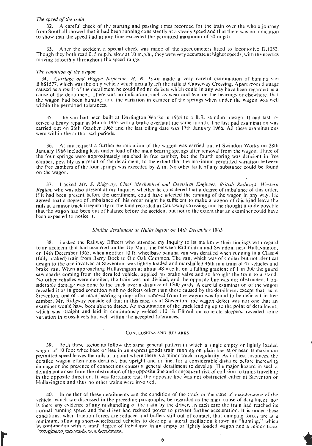#### *The speed* of *the train*

32. A careful check of the starting and passing times recorded for the train over the whole journey from Soutball showed that it had been running consistently at a steady speed and that there was no indication to show that the speed had at any time exceeded the permitted maximum of 50 m.p.h.

33. After the accident a special check was made of the speedometers fittcd to locomotive D.1052. Though they both read 0.5 m.p.h. slow at 10 m.p.h., they were very accurate at higher speeds, with the needles moving smoothly throughout the speed range.

#### *The condition of'the wagon*

**34.** *Carriage and Wagon lnspeclor, H. H. Town* made a very careful examination or banana van B 881577, which was the only vehicle whch actually left the rails at Causeway Crossing. Apart from damage caused as a result of the derailment he could find no defects which could in any way have been regarded as a cause of the derailment. There was no indication, such as wear and tear on the bearings or elsewhere. that the wagon had been hunting: and the variation in camber of the springs when under the wagon was well within the permitted tolerances.

35. The van had been built at Darlington Works in 1958 to a B.R. standard design. It had last received a heavy repair in March 1965 with a brake overhaul the same month. The last pad examination was carried out on 26th October 1965 and the last oiling date was 17th January 1966. All these examinations were within the authorised periods.

36. At my request a further examination of the wagon was carried out at Swindon Works on 28th January 1966 including tests under load of the main bearing spriugs after removal from the wagon. Three of the four springs were approximately matched in free camber, but the fourth spring was deficient in free camber, possibly as a result of the derailment, to the extent that the maximum permitted variation between the free cambers of the four springs was exceeded by  $\frac{1}{16}$  in. No other fault of any substance could be found on the wagon.

37. 1 asked Mr. S. Ridgway, Chief Mechanicol and Electrical Engineer, British Railways, Western *Region,* who was also present at my Inquiry, whether he considered that a degree of imbalance of this order, if it had been present before the derailment, could have affected the running of the wagon in any way. Hc agreed that a degree of imbalance of this order might be sufficient to make a wagon of this kind leave the rails at a minor track irregularity of the kind recorded at Causeway Crossing, and he thought it quite possible that the wagon had been out of balance before the accident but not to the extent that an examiner could have been expected to notice it.

#### Similar derailment at Hullavington on 14th December 1965

38. 1 asked the Railway Officers who attended my lnquiry to let me know their findings with rcgard to an accident that had occurred on the Up Main line between Badminton and Swindon, near Hullavington, on 14th December 1965, when another 10 ft. wheelbase banana van was derailed when running in a Class 4 (fully braked) train from Barry Dock to Old Oak Common. The van, which was of similar but not identical design to the one involved at Steventon, was lightly loaded and marshalled 46th in a train of 47 vehicles and brake van. When approaching Hullavington at about 48 m.p.h. on a falling gradient of I in 300 the guard saw sparks coming from the derailed vehicle, applied his brake valve and so brought the train to a stand. No other vehicles were derailed, the train was not divided, and the opposite line was not obstructed. Considerable damage was done to the track over a distance of 1200 yards. **A** careful examination of the wagon revealed it as in good condition with no defects other than those caused by the derailment except that, as at Steventon, one of the main bearing springs after removal from the wagon was found to be deficient in free camber. Mr. Ridgway considered that in this case, as at Steventon, the wagon defect was not one that an examiner would have been able to detect. An examination of the track leading up to the point of derailment, which was straight and laid in continuously welded 110 lb FB rail on concrete sleepers, revealed some variation in cross-levels but well within the accepted tolerances.

#### **CONCLUSIONS AND REMARKS**

Both these accidents follow the same general pattern in which a single empty or lightly loaded wagon of 10 foot wheelbase or less in an express goods train running on plain line at or near its maximum permitted speed leaves the rails at a point where there is a minor track irregularity. As in these instances, the derailed wagon often runs derailed, but upright and in line, for a considerable distancc before increasing damage or the presence of connections causes a general derailment to develop. The major hazard in such a derailment arises from the obstruction of the opposite line and consequent risk of collision to trains travelling in the opposite direction. It was fortunate that the opposite line was not obstructed either at Steventon or Hullavington and thus no other trains were involved.

40. In neither of these derailments can the condition of the track or the state of maintenance or the vehicle, which are discussed in the preceding paragraphs, be regarded as the main cause of derailment. nor is there any evidence of any mishandling of the train by the driver. In each case the train had reached its normal running speed and the driver had reduced power to prevent further acceleration. It is under these conditions, when traction forces are reduced and buffers still out of contact, that damping forces are at a minimum, allowing short-wheelbased vehicles to develop a lateral oscillation known as "hunting," which in conjunction with a small degree of imbalance in an empty or lightly loaded wagon and a minor track integularity can result in a derailment.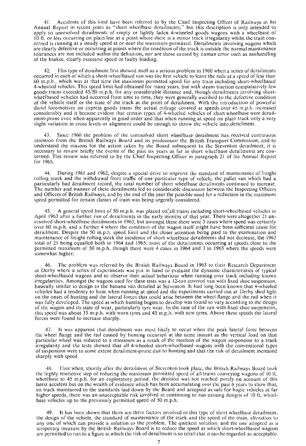Accidents of this kind have been referred to by the Chief Inspecting Officer of Railways in his Annual Report in recent years as "short wheelbase derailments," but this description is only intended to apply to unresolved derailments of empty or lightly laden 4-wheeled goods wagons with a wheelbase of 10 ft. or less occurring on plain line at a point where there is a minor track irregularity whilst the train concerned is running at a steady speed at or near the maximum permitted. Derailments involving wagons which are clearly defective or occurring at points where the condition of the track is outside the normal maintenance tolerances are not included within the definition, nor are those caused by human error such as mishandling of the brakes, clearly excessive speed or faulty loading.

This type of derailment first showed itself as a serious problem in 1960 when a series of derailments occurred in each of which a short-wheelbased van was the first vehicle to leave the rails at a speed of less than 60 m.p.h., which was at that time the maximum permitted speed for any train including short-wheelbased ! 4-wheeled vehicles. This speed limit had obtained for many years, but with steam traction comparatively few goods trains exceeded 45/50 m.p.h. for any considerable distance and, though derailments involving shortwheelbased vehicles had occurred from time to time, they were generally ascribed to the defective condition of the vehicle itself or the state of the track at the point of derailment. With the introduction of powerful diesel locomotives on express goods trains the actual mileage covered at speeds over 45 m.p.h. increased considerably and it became evident that certain types of 4-wheeled vehicles of short wheelbase were derailment-prone even when apparently in good order and that when running at speed on plain track only a very slight variation in cross levels or alignment could be enough to throw the vehicle into derailment.

43. Sincc 1960 the problem of the unresolved short wheelbase derailment has received continuous attention from the British Railways Board and its predecessor the British Transport Commission, and to understand the reasons for the action taken by the Board subsequent to the Steventon derailment, it is necessary to review briefly the events of the past six years as far as short wheelbase derailments are concerned. This review was referred to by the Chief Inspecting Officer in paragraph 21 of his Annual Report for 1965.

44. During 1961 and 1962, despitc a special drive to improve the standard of maintenance of freight rolling stock and the withdrawal from traffic of one particular type of vehicle, thc pallet van which had a particularly bad derailment record, the total number of short wheelbase derailments continued to increase. ! The number and manner of these derailments led to considerable discussion between the Inspecting Officers and Officers of British Railways, and by the end of the year the possible need for a reduction in the maximum speed permitted for certain classes of train was being urgently considered.

A general speed limit of 50 m.p.h. was placed on'all trains including short-wheelbased vehicles in April 1963 after a further run of derailments in the early months of that year. There were altogether 21 unresolved short-wheelbase derailments in 1963, but amongst these there were 5 cases where speed was certainly over 60 m.p.h. and a further 4 where the condition of the wagon itself might have been sufficient cause for derailment. Despite the 50 m.p.h. speed limit and the closer attention being paid to the examination and maintenance of freight rolling stock the incidence of short wheelbase derailments did not decrease, the 1963 total of 21 being equalled both in 1964 and 1965, most of the derailments occurring at speeds close to the permitted maximum of 50 m.p.h. though there were 4 cases in 1964 and 3 in 1965 where the speeds were somewhat higher.

46. The problem was referred by the British Railways Board in 1963 to their Rescarch Dcpartmcnt at Derby where a series of experiments was put in hand to evaluate the dynamic characteristics of typical short-wheelbased wagons and to observe their actual behaviour when running over track including known irregularities. Amongst the wagons used for these tests was a 12-ton covered van with fixed shoe suspension, basically similar in design to the banana van derailed at Steventon. It had long been known that 4-wheeled vehicles had a tendency to hunt when running at speed and the experiments carried out at Derby shed light on the onset of hunting and the lateral forces that could arise between the wheel flange and the rail when it was fully developed. The speed at which hunting begins to develop was found to vary according to the design of the wagon and its state of wear, particularly tyre wear. In the case of the van with fixed shoe suspension, this speed was about 35 m.p.h. with worn tyres and 45 m.p.h. with new tyres. Above these speeds the lateral forces were found to increase sharply.

47. It was apparent that derailment was most likely to occur when the peak lateral force between the wheel flange and the rail caused by hunting occurred at the same instant as the vertical load on that particular wheel was reduced to a minimum as a result of the reaction of the wagon suspension to a track irregularity and the tests showed that all 4-wheeled short-wheelbased wagons with the conventional types of suspension were to some extent derailment-prone due to hunting and that the risk of derailment increased sharply with speed.

48. Thus when, shortly after the derailment of Steventon took place, the British Railways Board took the highly restrictive step of reducing the maximum permitted speed of all trains conveying wagons of 10 ft. wheelbase to 45 m.p.h. for an exploratory period, the decision was not reached purely on account of this latest accident but on the wealth of evidence which has been accumulating over the past 6 ycars to show that, on track maintained to the standards laid down by the Board and accepted as safe for bogie vehicles at far higher speeds, there was an unacceptable risk involved in continuing to run existing designs of 10 ft. wheelbase vehicles up to the previously permitted speed of 50 m.p.h.

49. It has been shown that there are three factors involved in this type of short wheelbase derailment, the design of the vehicle, the standard of maintenance of the track and the speed of the train, alteration to any one of which can provide a solution to the problem. The quickest solution, and the onc adopted as a tcmporary measure by the British Railways Board is to reduce the speed at which short-wheelbascd wagons are permitted to run to a figure at which the risk of derailment is so small that it can be regarded as acceptable.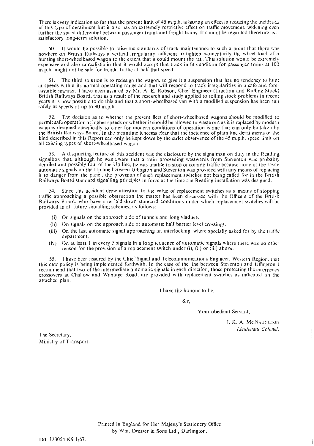There is every indication so far that the present limit of 45 m.p.h. is having an effect in reducing the incidence of this type of derailment but it also has an extremely restrictive effect on traffic movement, widening even further the speed differential between passenger trains and freight trains. It cannot be regarded therefore as a satisfactory long-term solution.

50. It would be possible to raise the standards of track maintenance to such a point that thcre was nowhere on British Railways a vertical irregularity sufficient to lighten momentarily the wheel load of a hunting short-wheelbased wagon to the extent that it could mount the rail. This solution would be extremely expensive and also unrealistic in that it would accept that track in fit condition for passenger trains at 100 m.p.h. might not be safe for freight traffic at half that speed.

The third solution is to redesign the wagon, to give it a suspension that has no tendency to liunt at speeds within its normal operating range and that will respond to track irregularities in a safe and forecastable manner. 1 have been assured by Mr. **A.** E. Robson, Chief Engineer (Traction and Rolling Stock) British Railways Board, that as a result of the research and study applied to rolling stock problems in recent years it is now possible to do this and that a short-wheelbased van with a modified suspension has been run safely at speeds of up to 90 m.p.h.

The decision as to whether the present fleet of short-wheelbased wagons should be modified to permit safe operation at higher speeds or whether it should he allowed to waste out as it is replaced by modern wagons designed specifically to cater for modern conditions of operation is one that can only be taken by the British Railways Board. In the meantime it seems clear that the incidence of plain line derailments of the kind described in this Report can only be kept down by the strict observance of the 45 m.p.h. speed limit on all existing types of short-wheelbased wagon.

53. **A** disquieting feature of this accident was the disclosure by the signalman on duty in the Reading signalbox that, although he was aware that a train proceeding westwards from Steventon was probably derailed and possibly foul of the Up line, he was unable to stop oncoming traffic because none of the seven automatic signals on the Up line bctween Uffington and Steventon was provided with any means of replacing it to danger from the panel, the provision of such replacement switches not being called for in the British Railways Board standard signalling principles in force at the time the Reading installation was designed.

**54.** Since this accident drew attention to the value of replacement switches as a means of stopping traffic approaching a possible obstruction the matter has been discussed with the Officers of the British Railways Board, who have now laid down standard conditions under which replacemcnt switches will be provided in all future signalling schemes, as follows:-

- (i) On signals on the approach side of tunnels and long viaducts.
- (ii) On signals on the approach side of automatic half barrier level crossings.
- (iii) On the last automatic signal approaching an interlocking, where specially asked for by the tratfic department.
- (iv) On at least 1 in every **5** signals in a long sequence of automatic signals whcre there was no otlicr reason for the provision of a replacement switch under (i), (ii) or (iii) above.

55. **1** have been assured by the Chief Signal and Telecommunications Engineer, Western Region. that this new policy is being implemented forthwith. In the case of the line between Steventon and Uffington I recommend that two of the intermediate automatic signals in each direction, those protecting the cmergency crossovers at Challow and Wantage Road, are provided with replacement switches as indicated on the attached plan.

I have the honour to be,

Sir:

Your obedient Servant,

**1. K. A. MCNAUGHTON**  *Lieutenant Colonel.* 

The Secretary, Ministry of Transport.